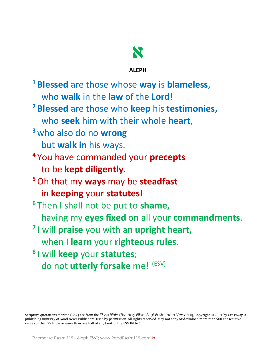

## **ALEPH**

**<sup>1</sup> Blessed** are those whose **way** is **blameless**, who **walk** in the **law** of the **Lord**! **<sup>2</sup> Blessed** are those who **keep** his **testimonies,**  who **seek** him with their whole **heart**, **<sup>3</sup>** who also do no **wrong** but **walk in** his ways. **<sup>4</sup>** You have commanded your **precepts** to be **kept diligently**. **<sup>5</sup>**Oh that my **ways** may be **steadfast** in **keeping** your **statutes**! **<sup>6</sup>** Then I shall not be put to **shame,** having my **eyes fixed** on all your **commandments**. **<sup>7</sup>** I will **praise** you with an **upright heart,** when I **learn** your **righteous rules**. **<sup>8</sup>** I will **keep** your **statutes**; do not **utterly forsake** me! (ESV)

Scripture quotations marked (ESV) are from the *ESV® Bible (The Holy Bible, English Standard Version®)*, Copyright © 2001 by Crossway, a publishing ministry of Good News Publishers. Used by permission. All rights reserved. May not copy or download more than 500 consecutive verses of the ESV Bible or more than one half of any book of the ESV Bible."